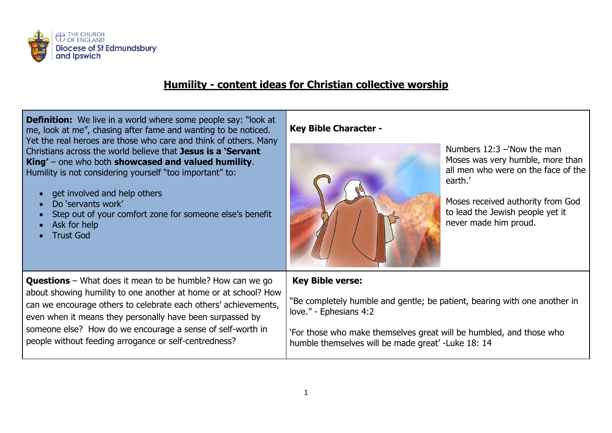

## **Humility - content ideas for Christian collective worship**

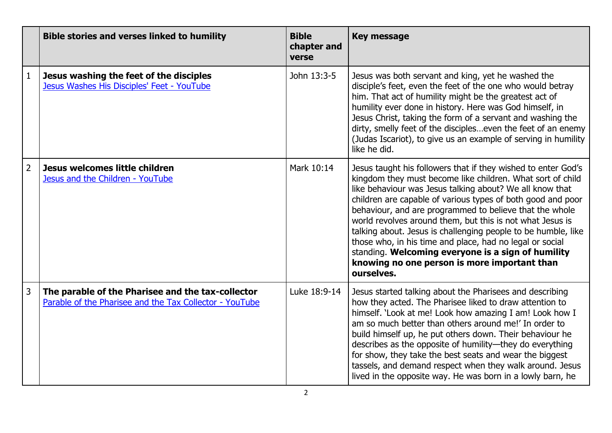|                | <b>Bible stories and verses linked to humility</b>                                                           | <b>Bible</b><br>chapter and<br>verse | <b>Key message</b>                                                                                                                                                                                                                                                                                                                                                                                                                                                                                                                                                                                                              |
|----------------|--------------------------------------------------------------------------------------------------------------|--------------------------------------|---------------------------------------------------------------------------------------------------------------------------------------------------------------------------------------------------------------------------------------------------------------------------------------------------------------------------------------------------------------------------------------------------------------------------------------------------------------------------------------------------------------------------------------------------------------------------------------------------------------------------------|
| $\mathbf{1}$   | Jesus washing the feet of the disciples<br>Jesus Washes His Disciples' Feet - YouTube                        | John 13:3-5                          | Jesus was both servant and king, yet he washed the<br>disciple's feet, even the feet of the one who would betray<br>him. That act of humility might be the greatest act of<br>humility ever done in history. Here was God himself, in<br>Jesus Christ, taking the form of a servant and washing the<br>dirty, smelly feet of the discipleseven the feet of an enemy<br>(Judas Iscariot), to give us an example of serving in humility<br>like he did.                                                                                                                                                                           |
| $\overline{2}$ | Jesus welcomes little children<br>Jesus and the Children - YouTube                                           | Mark 10:14                           | Jesus taught his followers that if they wished to enter God's<br>kingdom they must become like children. What sort of child<br>like behaviour was Jesus talking about? We all know that<br>children are capable of various types of both good and poor<br>behaviour, and are programmed to believe that the whole<br>world revolves around them, but this is not what Jesus is<br>talking about. Jesus is challenging people to be humble, like<br>those who, in his time and place, had no legal or social<br>standing. Welcoming everyone is a sign of humility<br>knowing no one person is more important than<br>ourselves. |
| 3              | The parable of the Pharisee and the tax-collector<br>Parable of the Pharisee and the Tax Collector - YouTube | Luke 18:9-14                         | Jesus started talking about the Pharisees and describing<br>how they acted. The Pharisee liked to draw attention to<br>himself. 'Look at me! Look how amazing I am! Look how I<br>am so much better than others around me!' In order to<br>build himself up, he put others down. Their behaviour he<br>describes as the opposite of humility—they do everything<br>for show, they take the best seats and wear the biggest<br>tassels, and demand respect when they walk around. Jesus<br>lived in the opposite way. He was born in a lowly barn, he                                                                            |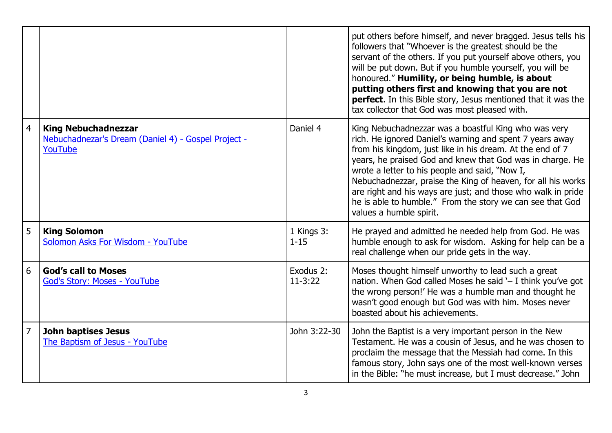|                |                                                                                              |                        | put others before himself, and never bragged. Jesus tells his<br>followers that "Whoever is the greatest should be the<br>servant of the others. If you put yourself above others, you<br>will be put down. But if you humble yourself, you will be<br>honoured." Humility, or being humble, is about<br>putting others first and knowing that you are not<br>perfect. In this Bible story, Jesus mentioned that it was the<br>tax collector that God was most pleased with.                                         |
|----------------|----------------------------------------------------------------------------------------------|------------------------|----------------------------------------------------------------------------------------------------------------------------------------------------------------------------------------------------------------------------------------------------------------------------------------------------------------------------------------------------------------------------------------------------------------------------------------------------------------------------------------------------------------------|
| $\overline{4}$ | <b>King Nebuchadnezzar</b><br>Nebuchadnezar's Dream (Daniel 4) - Gospel Project -<br>YouTube | Daniel 4               | King Nebuchadnezzar was a boastful King who was very<br>rich. He ignored Daniel's warning and spent 7 years away<br>from his kingdom, just like in his dream. At the end of 7<br>years, he praised God and knew that God was in charge. He<br>wrote a letter to his people and said, "Now I,<br>Nebuchadnezzar, praise the King of heaven, for all his works<br>are right and his ways are just; and those who walk in pride<br>he is able to humble." From the story we can see that God<br>values a humble spirit. |
| 5              | <b>King Solomon</b><br>Solomon Asks For Wisdom - YouTube                                     | 1 Kings 3:<br>$1 - 15$ | He prayed and admitted he needed help from God. He was<br>humble enough to ask for wisdom. Asking for help can be a<br>real challenge when our pride gets in the way.                                                                                                                                                                                                                                                                                                                                                |
| 6              | <b>God's call to Moses</b><br><b>God's Story: Moses - YouTube</b>                            | Exodus 2:<br>$11-3:22$ | Moses thought himself unworthy to lead such a great<br>nation. When God called Moses he said '- I think you've got<br>the wrong person!' He was a humble man and thought he<br>wasn't good enough but God was with him. Moses never<br>boasted about his achievements.                                                                                                                                                                                                                                               |
| $\overline{7}$ | <b>John baptises Jesus</b><br>The Baptism of Jesus - YouTube                                 | John 3:22-30           | John the Baptist is a very important person in the New<br>Testament. He was a cousin of Jesus, and he was chosen to<br>proclaim the message that the Messiah had come. In this<br>famous story, John says one of the most well-known verses<br>in the Bible: "he must increase, but I must decrease." John                                                                                                                                                                                                           |